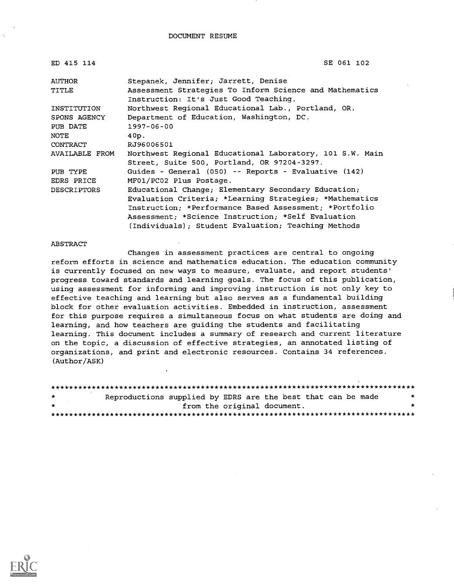DOCUMENT RESUME

| ED 415 114         | SE 061 102                                                                                              |
|--------------------|---------------------------------------------------------------------------------------------------------|
| AUTHOR             | Stepanek, Jennifer; Jarrett, Denise                                                                     |
| <b>TITLE</b>       | Assessment Strategies To Inform Science and Mathematics<br>Instruction: It's Just Good Teaching.        |
| INSTITUTION        | Northwest Regional Educational Lab., Portland, OR.                                                      |
| SPONS AGENCY       | Department of Education, Washington, DC.                                                                |
| PUB DATE           | $1997 - 06 - 00$                                                                                        |
| NOTE               | 40p.                                                                                                    |
| CONTRACT           | RJ96006501                                                                                              |
| AVAILABLE FROM     | Northwest Regional Educational Laboratory, 101 S.W. Main<br>Street, Suite 500, Portland, OR 97204-3297. |
| PUB TYPE           | Guides - General (050) -- Reports - Evaluative (142)                                                    |
| EDRS PRICE         | MF01/PC02 Plus Postage.                                                                                 |
| <b>DESCRIPTORS</b> | Educational Change; Elementary Secondary Education;                                                     |
|                    | Evaluation Criteria; *Learning Strategies; *Mathematics                                                 |
|                    | Instruction; *Performance Based Assessment; *Portfolio                                                  |
|                    | Assessment; *Science Instruction; *Self Evaluation                                                      |
|                    | (Individuals); Student Evaluation; Teaching Methods                                                     |

#### ABSTRACT

Changes in assessment practices are central to ongoing reform efforts in science and mathematics education. The education community is currently focused on new ways to measure, evaluate, and report students' progress toward standards and learning goals. The focus of this publication, using assessment for informing and improving instruction is not only key to effective teaching and learning but also serves as a fundamental building block for other evaluation activities. Embedded in instruction, assessment for this purpose requires a simultaneous focus on what students are doing and learning, and how teachers are guiding the students and facilitating learning. This document includes a summary of research and current literature on the topic, a discussion of effective strategies, an annotated listing of organizations, and print and electronic resources. Contains 34 references. (Author/ASK)

| $\star$ | Reproductions supplied by EDRS are the best that can be made |  |
|---------|--------------------------------------------------------------|--|
| $\star$ | from the original document.                                  |  |
|         |                                                              |  |

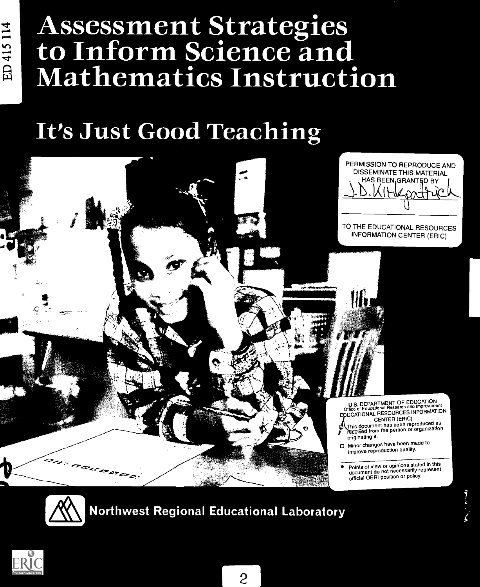# Assessment Strategies to Inform Science and Mathematics Instruction

## It's Just Good Teaching





### Northwest Regional Educational Laboratory

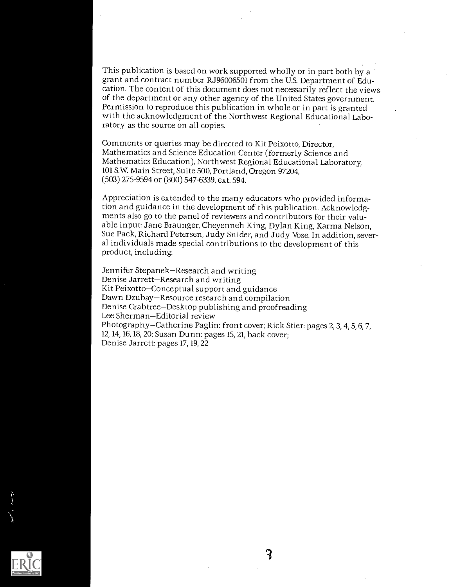This publication is based on work supported wholly or in part both by a grant and contract number RJ96006501 from the U.S. Department of Education. The content of this document does not necessarily reflect the views of the department or any other agency of the United States government. Permission to reproduce this publication in whole or in part is granted with the acknowledgment of the Northwest Regional Educational Laboratory as the source on all copies.

Comments or queries may be directed to Kit Peixotto, Director, Mathematics and Science Education Center (formerly Science and Mathematics Education), Northwest Regional Educational Laboratory, 101 S.W. Main Street, Suite 500, Portland, Oregon 97204, (503) 275-9594 or (800) 547-6339, ext. 594.

Appreciation is extended to the many educators who provided information and guidance in the development of this publication. Acknowledgments also go to the panel of reviewers and contributors for their valuable input: Jane Braunger, Cheyenneh King, Dylan King, Karma Nelson, Sue Pack, Richard Petersen, Judy Snider, and Judy Vose. In addition, several individuals made special contributions to the development of this product, including:

Jennifer Stepanek-Research and writing Denise Jarrett-Research and writing Kit Peixotto-Conceptual support and guidance Dawn Dzubay-Resource research and compilation Denise Crabtree–Desktop publishing and proofreading<br>Lee Sherman–Editorial review Photography-Catherine Paglin: front cover; Rick Stier: pages 2, 3, 4, 5, 6, 7, 12, 14, 16, 18, 20; Susan Dunn: pages 15, 21, back cover; Denise Jarrett: pages 17, 19, 22

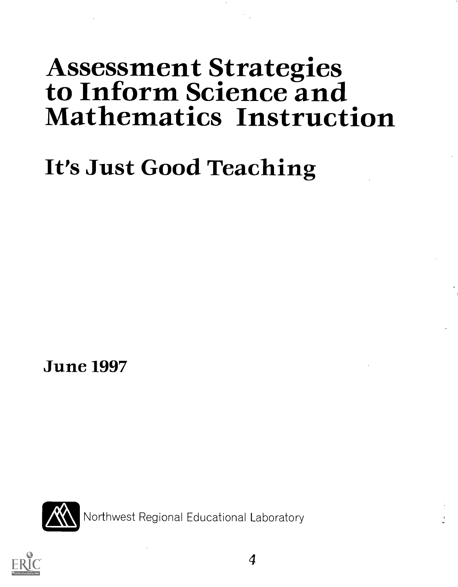# Assessment Strategies to Inform Science and Mathematics Instruction

# It's Just Good Teaching

June 1997



Northwest Regional Educational Laboratory

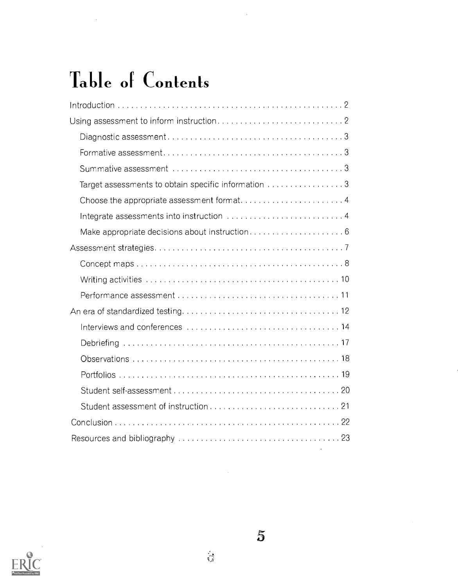# Table of Contents

| Target assessments to obtain specific information 3 |
|-----------------------------------------------------|
|                                                     |
|                                                     |
|                                                     |
|                                                     |
|                                                     |
|                                                     |
|                                                     |
|                                                     |
|                                                     |
|                                                     |
|                                                     |
|                                                     |
|                                                     |
|                                                     |
|                                                     |
|                                                     |



 $\frac{d}{d} \frac{\partial}{\partial t}$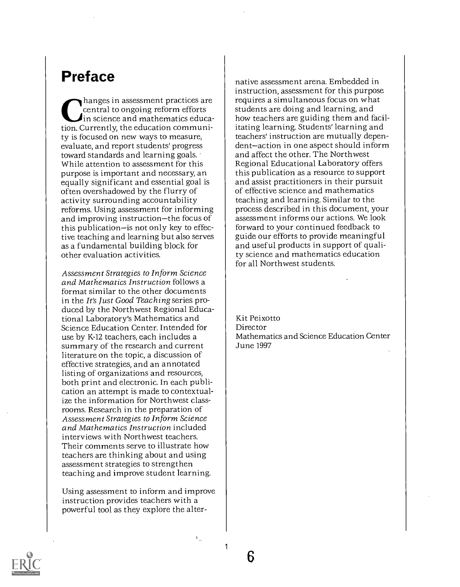### Preface

hanges in assessment practices are central to ongoing reform efforts  $\blacktriangle$ in science and mathematics education. Currently, the education community is focused on new ways to measure, evaluate, and report students' progress toward standards and learning goals. While attention to assessment for this purpose is important and necessary, an equally significant and essential goal is often overshadowed by the flurry of activity surrounding accountability reforms. Using assessment for informing and improving instruction-the focus of this publication-is not only key to effective teaching and learning but also serves as a fundamental building block for other evaluation activities.

Assessment Strategies to Inform Science and Mathematics Instruction follows a format similar to the other documents in the It's Just Good Teaching series produced by the Northwest Regional Educational Laboratory's Mathematics and Science Education Center. Intended for use by K-12 teachers, each includes a summary of the research and current literature on the topic, a discussion of effective strategies, and an annotated listing of organizations and resources, both print and electronic. In each publication an attempt is made to contextualize the information for Northwest classrooms. Research in the preparation of Assessment Strategies to Inform Science and Mathematics Instruction included interviews with Northwest teachers. Their comments serve to illustrate how teachers are thinking about and using assessment strategies to strengthen teaching and improve student learning.

Using assessment to inform and improve instruction provides teachers with a powerful tool as they explore the alternative assessment arena. Embedded in instruction, assessment for this purpose requires a simultaneous focus on what students are doing and learning, and how teachers are guiding them and facilitating learning. Students' learning and teachers' instruction are mutually dependent-action in one aspect should inform and affect the other. The Northwest Regional Educational Laboratory offers this publication as a resource to support and assist practitioners in their pursuit of effective science and mathematics teaching and learning. Similar to the process described in this document, your assessment informs our actions. We look forward to your continued feedback to guide our efforts to provide meaningful and useful products in support of quality science and mathematics education for all Northwest students.

Kit Peixotto Director Mathematics and Science Education Center June 1997



6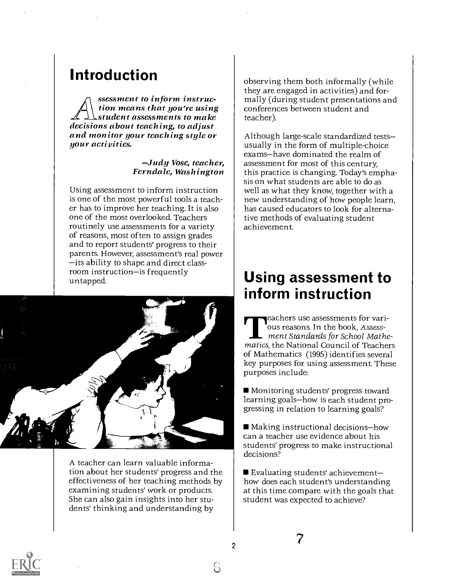### Introduction

ssessment to inform instruction means that you're using  $\perp$   $\perp$  student assessments to make<br>decisions about teaching, to adjust and monitor your teaching style or<br>your activities.

### Judy Vose, teacher, Ferndale, Washington

Using assessment to inform instruction is one of the most powerful tools a teacher has to improve her teaching. It is also one of the most overlooked. Teachers routinely use assessments for a variety of reasons, most often to assign grades and to report students' progress to their parents. However, assessment's real power its ability to shape and direct class-room instruction-is frequently untapped.



A teacher can learn valuable information about her students' progress and the effectiveness of her teaching methods by examining students' work or products. She can also gain insights into her students' thinking and understanding by

observing them both informally (while they are engaged in activities) and formally (during student presentations and conferences between student and teacher).

Although large-scale standardized tests usually in the form of multiple-choice exams-have dominated the realm of assessment for most of this century, this practice is changing. Today's emphasis on what students are able to do as well as what they know, together with a new understanding of how people learn, has caused educators to look for alternative methods of evaluating student achievement.

### Using assessment to inform instruction

**Teachers use assessments for vari**ous reasons. In the book, Assessment Standards for School Mathematics, the National Council of Teachers of Mathematics (1995) identifies several key purposes for using assessment. These purposes include:

Monitoring students' progress toward learning goals-how is each student progressing in relation to learning goals?

 $\blacksquare$  Making instructional decisions-how can a teacher use evidence about his students' progress to make instructional decisions?

Evaluating students' achievementhow does each student's understanding at this time compare with the goals that student was expected to achieve?

7



2

 $\frac{1}{2}$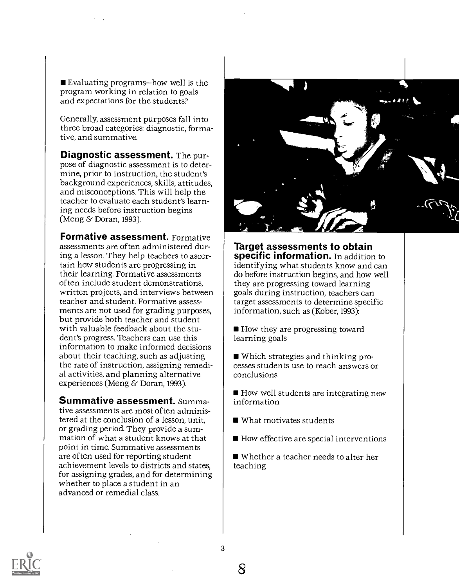Evaluating programs-how well is the program working in relation to goals and expectations for the students?

Generally, assessment purposes fall into three broad categories: diagnostic, formative, and summative.

Diagnostic assessment. The purpose of diagnostic assessment is to determine, prior to instruction, the student's background experiences, skills, attitudes, and misconceptions. This will help the teacher to evaluate each student's learning needs before instruction begins (Meng & Doran, 1993).

**Formative assessment.** Formative assessments are often administered during a lesson. They help teachers to ascertain how students are progressing in their learning. Formative assessments often include student demonstrations, written projects, and interviews between teacher and student. Formative assessments are not used for grading purposes, but provide both teacher and student with valuable feedback about the student's progress. Teachers can use this information to make informed decisions about their teaching, such as adjusting the rate of instruction, assigning remedial activities, and planning alternative experiences (Meng & Doran, 1993).

Summative assessment. Summative assessments are most often administered at the conclusion of a lesson, unit, or grading period. They provide a summation of what a student knows at that point in time. Summative assessments are often used for reporting student achievement levels to districts and states, for assigning grades, and for determining whether to place a student in an advanced or remedial class.



Target assessments to obtain specific information. In addition to identifying what students know and can do before instruction begins, and how well they are progressing toward learning goals during instruction, teachers can target assessments to determine specific information, such as (Kober, 1993):

- How they are progressing toward learning goals
- Which strategies and thinking processes students use to reach answers or conclusions
- How well students are integrating new information
- What motivates students
- How effective are special interventions

Whether a teacher needs to alter her teaching

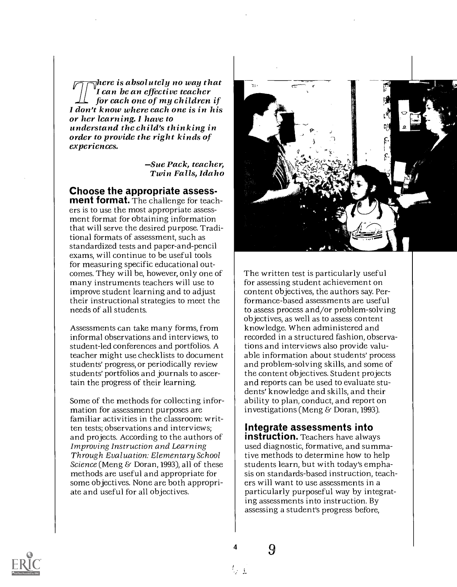$_{\overline{1}}$ here is absolutely no way that<br>I can be an effective teacher for each one of my children if I don't know where each one is in his<br>or her learning. I have to understand the child's thinking in order to provide the right kinds of experiences.

> Sue Pack, teacher, Twin Falls, Idaho

Choose the appropriate assess- ment format. The challenge for teachers is to use the most appropriate assessment format for obtaining information that will serve the desired purpose. Traditional formats of assessment, such as standardized tests and paper-and-pencil exams, will continue to be useful tools for measuring specific educational outcomes. They will be, however, only one of many instruments teachers will use to improve student learning and to adjust their instructional strategies to meet the needs of all students.

Assessments can take many forms, from informal observations and interviews, to student-led conferences and portfolios. A teacher might use checklists to document students' progress, or periodically review students' portfolios and journals to ascertain the progress of their learning.

Some of the methods for collecting information for assessment purposes are familiar activities in the classroom: written tests; observations and interviews; and projects. According to the authors of Improving Instruction and Learning Through Evaluation: Elementary School Science (Meng & Doran, 1993), all of these methods are useful and appropriate for some objectives. None are both appropriate and useful for all objectives.



The written test is particularly useful for assessing student achievement on content objectives, the authors say. Performance-based assessments are useful to assess process and/or problem-solving objectives, as well as to assess content knowledge. When administered and recorded in a structured fashion, observations and interviews also provide valuable information about students' process and problem-solving skills, and some of the content objectives. Student projects and reports can be used to evaluate students' knowledge and skills, and their ability to plan, conduct, and report on investigations (Meng & Doran, 1993).

#### Integrate assessments into

**instruction.** Teachers have always used diagnostic, formative, and summative methods to determine how to help students learn, but with today's emphasis on standards-based instruction, teachers will want to use assessments in a particularly purposeful way by integrating assessments into instruction. By assessing a student's progress before,



与主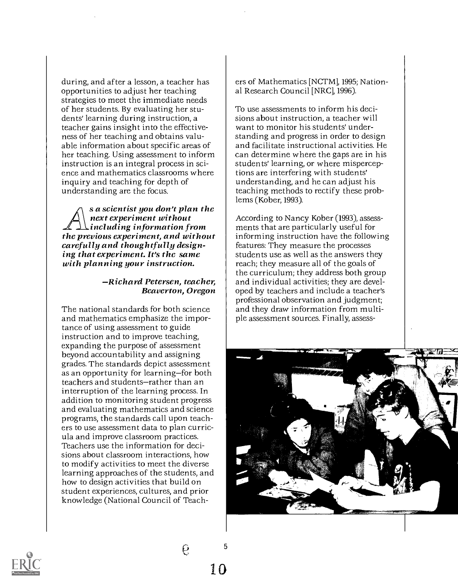during, and after a lesson, a teacher has opportunities to adjust her teaching strategies to meet the immediate needs of her students. By evaluating her students' learning during instruction, a teacher gains insight into the effectiveness of her teaching and obtains valuable information about specific areas of her teaching. Using assessment to inform instruction is an integral process in science and mathematics classrooms where inquiry and teaching for depth of understanding are the focus.

s a scientist you don't plan the<br>next experiment without<br>including information from the previous experiment, and without<br>carefully and thoughtfully design-<br>ing that experiment. It's the same with planning your instruction.

#### Richard Petersen, teacher, Beaverton, Oregon

The national standards for both science and mathematics emphasize the importance of using assessment to guide instruction and to improve teaching, expanding the purpose of assessment beyond accountability and assigning grades. The standards depict assessment as an opportunity for learning-for both teachers and students-rather than an interruption of the learning process. In addition to monitoring student progress and evaluating mathematics and science programs, the standards call upon teachers to use assessment data to plan curricula and improve classroom practices. Teachers use the information for decisions about classroom interactions, how to modify activities to meet the diverse learning approaches of the students, and how to design activities that build on student experiences, cultures, and prior knowledge (National Council of Teachers of Mathematics [NCTM], 1995; National Research Council [NRC], 1996).

To use assessments to inform his decisions about instruction, a teacher will want to monitor his students' understanding and progress in order to design and facilitate instructional activities. He can determine where the gaps are in his students' learning, or where misperceptions are interfering with students' understanding, and he can adjust his teaching methods to rectify these problems (Kober, 1993).

According to Nancy Kober (1993), assessments that are particularly useful for informing instruction have the following features: They measure the processes students use as well as the answers they reach; they measure all of the goals of the curriculum; they address both group and individual activities; they are developed by teachers and include a teacher's professional observation and judgment; and they draw information from multiple assessment sources. Finally, assess-



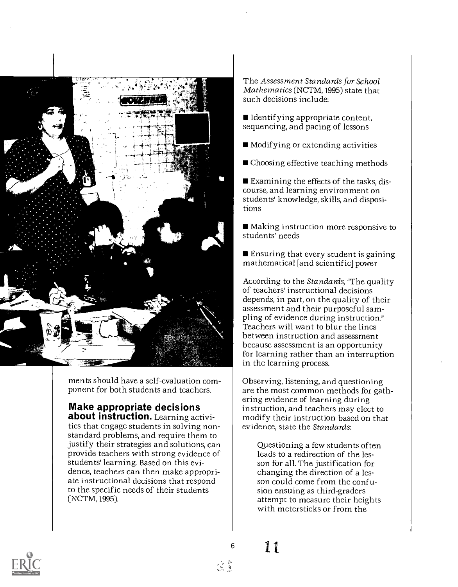

ments should have a self-evaluation component for both students and teachers.

### Make appropriate decisions about instruction. Learning activi-

ties that engage students in solving nonstandard problems, and require them to justify their strategies and solutions, can provide teachers with strong evidence of students' learning. Based on this evidence, teachers can then make appropriate instructional decisions that respond to the specific needs of their students (NCTM, 1995).

The Assessment Standards for School Mathematics (NCTM, 1995) state that such decisions include:

- $\blacksquare$  Identifying appropriate content, sequencing, and pacing of lessons
- Modif ying or extending activities
- Choosing effective teaching methods

Examining the effects of the tasks, discourse, and learning environment on students' knowledge, skills, and dispositions

■ Making instruction more responsive to students' needs

■ Ensuring that every student is gaining mathematical [and scientific] power

According to the Standards, "The quality of teachers' instructional decisions depends, in part, on the quality of their assessment and their purposeful sampling of evidence during instruction." Teachers will want to blur the lines between instruction and assessment because assessment is an opportunity for learning rather than an interruption in the learning process.

Observing, listening, and questioning are the most common methods for gathering evidence of learning during instruction, and teachers may elect to modify their instruction based on that evidence, state the Standards:

Questioning a few students often leads to a redirection of the lesson for all. The justification for changing the direction of a lesson could come from the confusion ensuing as third-graders attempt to measure their heights with metersticks or from the



11 6

 $\sim 7$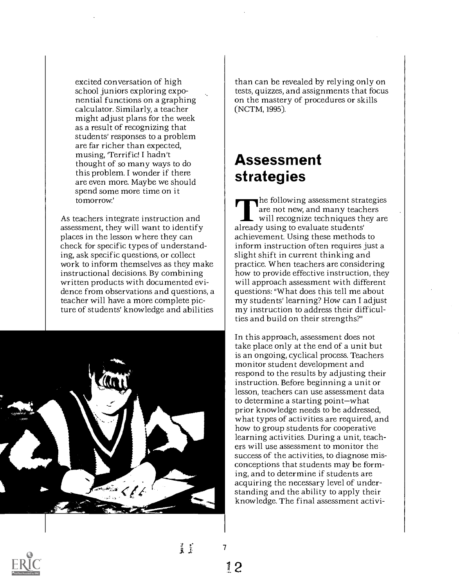excited conversation of high school juniors exploring exponential functions on a graphing calculator. Similarly, a teacher might adjust plans for the week as a result of recognizing that students' responses to a problem are far richer than expected, musing, 'Terrific! I hadn't thought of so many ways to do this problem. I wonder if there are even more. Maybe we should spend some more time on it tomorrow'

As teachers integrate instruction and assessment, they will want to identify places in the lesson where they can check for specific types of understanding, ask specific questions, or collect work to inform themselves as they make instructional decisions. By combining written products with documented evidence from observations and questions, a teacher will have a more complete picture of students' knowledge and abilities



than can be revealed by relying only on tests, quizzes, and assignments that focus on the mastery of procedures or skills (NCTM, 1995).

### Assessment strategies

The following assessment strategies are not new, and many teachers will recognize techniques they are already using to evaluate students' achievement. Using these methods to inform instruction often requires just a slight shift in current thinking and practice. When teachers are considering how to provide effective instruction, they will approach assessment with different questions: "What does this tell me about my students' learning? How can I adjust my instruction to address their difficulties and build on their strengths?"

In this approach, assessment does not take place only at the end of a unit but is an ongoing, cyclical process. Teachers monitor student development and respond to the results by adjusting their instruction. Before beginning a unit or lesson, teachers can use assessment data to determine a starting point-what prior knowledge needs to be addressed, what types of activities are required, and how to group students for cooperative learning activities. During a unit, teachers will use assessment to monitor the success of the activities, to diagnose misconceptions that students may be forming, and to determine if students are acquiring the necessary level of understanding and the ability to apply their knowledge. The final assessment activi-

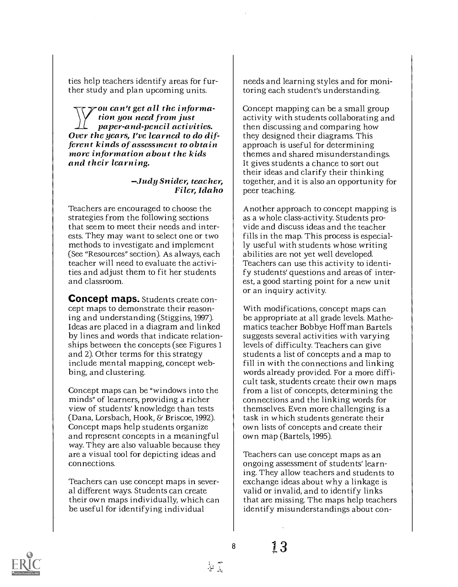ties help teachers identify areas for further study and plan upcoming units.

-ou can't get all the informa-<br>tion you need from just  $11$  paper-and-pencil activities.<br>Over the years, I've learned to do dif-<br>ferent kinds of assessment to obtain more information about the kids and their learning.

### Judy Snider, teacher, Filer, Idaho

Teachers are encouraged to choose the strategies from the following sections that seem to meet their needs and interests. They may want to select one or two methods to investigate and implement (See "Resources" section). As always, each teacher will need to evaluate the activities and adjust them to fit her students and classroom.

Concept maps. Students create concept maps to demonstrate their reasoning and understanding (Stiggins, 1997). Ideas are placed in a diagram and linked by lines and words that indicate relationships between the concepts (see Figures 1 and 2). Other terms for this strategy include mental mapping, concept webbing, and clustering.

Concept maps can be "windows into the minds" of learners, providing a richer view of students' knowledge than tests (Dana, Lorsbach, Hook, & Briscoe, 1992). Concept maps help students organize and represent concepts in a meaningful way. They are also valuable because they are a visual tool for depicting ideas and connections.

Teachers can use concept maps in several different ways. Students can create their own maps individually, which can be useful for identifying individual

needs and learning styles and for monitoring each student's understanding.

Concept mapping can be a small group activity with students collaborating and then discussing and comparing how they designed their diagrams. This approach is useful for determining themes and shared misunderstandings. It gives students a chance to sort out their ideas and clarify their thinking together, and it is also an opportunity for peer teaching.

Another approach to concept mapping is as a whole class-activity. Students provide and discuss ideas and the teacher fills in the map. This process is especially useful with students whose writing abilities are not yet well developed. Teachers can use this activity to identify students' questions and areas of interest, a good starting point for a new unit or an inquiry activity.

With modifications, concept maps can be appropriate at all grade levels. Mathematics teacher Bobbye Hoffman Bartels suggests several activities with varying levels of difficulty. Teachers can give students a list of concepts and a map to fill in with the connections and linking words already provided. For a more difficult task, students create their own maps from a list of concepts, determining the connections and the linking words for themselves. Even more challenging is a task in which students generate their own lists of concepts and create their own map (Bartels, 1995).

Teachers can use concept maps as an ongoing assessment of students' learning. They allow teachers and students to exchange ideas about why a linkage is valid or invalid, and to identify links that are missing. The maps help teachers identify misunderstandings about con-



8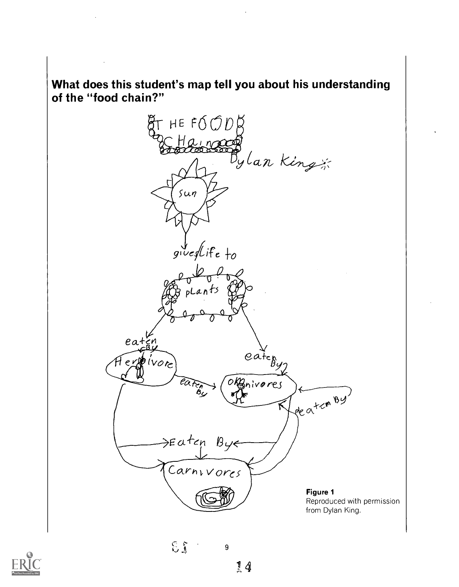What does this student's map tell you about his understanding of the "food chain?"

HE FOOD  $\beta$ " E Hainacon  $g\psi$ edlife to  $ext{e}_{a}$  $e^{at}$ pivore  $eV$ Brivares reation By →Eatcp Bye Carnivores Figure 1 Reproduced with permission from Dylan King.



 $E_1$  9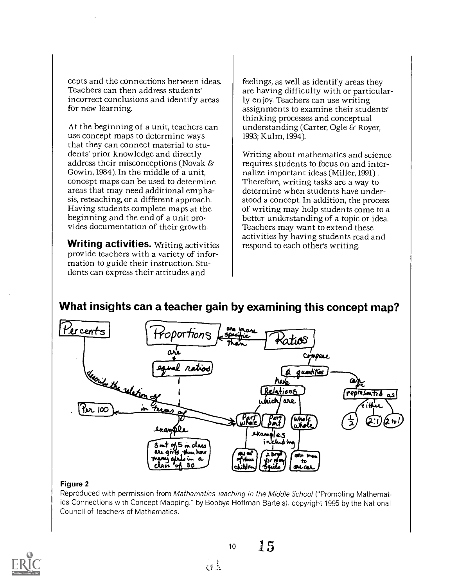cepts and the connections between ideas. Teachers can then address students' incorrect conclusions and identify areas for new learning.

At the beginning of a unit, teachers can use concept maps to determine ways that they can connect material to students' prior knowledge and directly address their misconceptions (Novak & Gowin, 1984). In the middle of a unit, concept maps can be used to determine areas that may need additional emphasis, reteaching, or a different approach. Having students complete maps at the beginning and the end of a unit provides documentation of their growth.

Writing activities. Writing activities provide teachers with a variety of information to guide their instruction. Students can express their attitudes and

feelings, as well as identify areas they are having difficulty with or particularly enjoy. Teachers can use writing assignments to examine their students' thinking processes and conceptual understanding (Carter, Ogle & Royer, 1993; Kulm, 1994).

Writing about mathematics and science requires students to focus on and internalize important ideas (Miller, 1991) . Therefore, writing tasks are a way to determine when students have understood a concept. In addition, the process of writing may help students come to a better understanding of a topic or idea. Teachers may want to extend these activities by having students read and respond to each other's writing.

#### What insights can a teacher gain by examining this concept map?



#### Figure 2

Reproduced with permission from Mathematics Teaching in the Middle School ("Promoting Mathematics Connections with Concept Mapping," by Bobbye Hoffman Bartels), copyright 1995 by the National Council of Teachers of Mathematics.

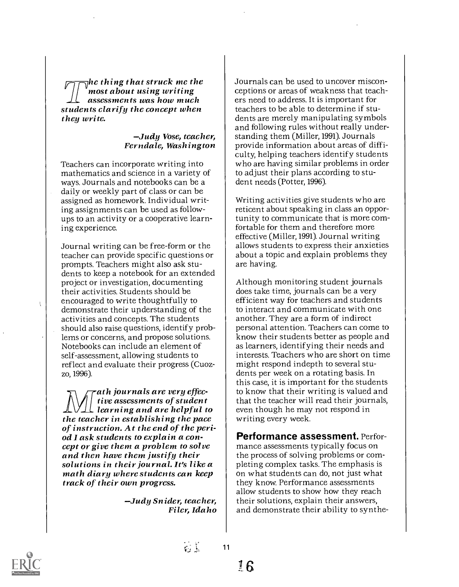$\nabla$ hc thing that struck me the<br>most about using writing assessments was how much students clarify the concept when they write.

Judy Vose, teacher, Ferndale, Washington

Teachers can incorporate writing into mathematics and science in a variety of ways. Journals and notebooks can be a daily or weekly part of class or can be assigned as homework. Individual writing assignments can be used as followups to an activity or a cooperative learning experience.

Journal writing can be free-form or the teacher can provide specific questions or prompts. Teachers might also ask students to keep a notebook for an extended project or investigation, documenting their activities. Students should be encouraged to write thoughtfully to demonstrate their understanding of the activities and concepts. The students should also raise questions, identify problems or concerns, and propose solutions. Notebooks can include an element of self-assessment, allowing students to reflect and evaluate their progress (Cuozzo, 1996).

ath journals are very effective assessments of student  $\angle$ ULL learning and are helpful to<br>the teacher in establishing the pace the teacher in establishing the pace<br>of instruction. At the end of the peri-<br>od I ask students to explain a con-<br>cept or give them a problem to solve<br>and then have them justify their<br>solutions in their journal. It's like a track of their own progress.

Judy Snider, teacher, Filer, Idaho

Journals can be used to uncover misconceptions or areas of weakness that teachers need to address. It is important for teachers to be able to determine if students are merely manipulating symbols and following rules without really understanding them (Miller, 1991). Journals provide information about areas of difficulty, helping teachers identify students who are having similar problems in order to adjust their plans according to student needs (Potter, 1996).

Writing activities give students who are reticent about speaking in class an opportunity to communicate that is more comfortable for them and therefore more effective (Miller, 1991). Journal writing allows students to express their anxieties about a topic and explain problems they are having.

Although monitoring student journals does take time, journals can be a very efficient way for teachers and students to interact and communicate with one another. They are a form of indirect personal attention. Teachers can come to know their students better as people and as learners, identifying their needs and interests. Teachers who are short on time might respond indepth to several students per week on a rotating basis. In this case, it is important for the students to know that their writing is valued and that the teacher will read their journals, even though he may not respond in writing every week.

Performance assessment. Performance assessments typically focus on the process of solving problems or completing complex tasks. The emphasis is on what students can do, not just what they know. Performance assessments allow students to show how they reach their solutions, explain their answers, and demonstrate their ability to synthe-



ţ

 $\epsilon$  .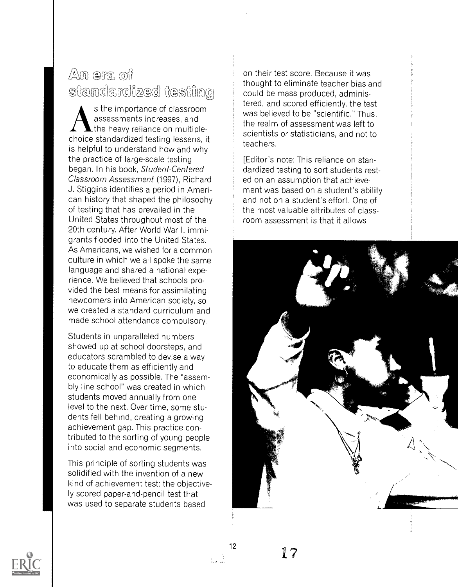### $\mathbb{A}$ m era off standardized testing

s the importance of classroom assessments increases, and the heavy reliance on multiplechoice standardized testing lessens, it is helpful to understand how and why the practice of large-scale testing began. In his book, Student-Centered Classroom Assessment (1997), Richard J. Stiggins identifies a period in American history that shaped the philosophy of testing that has prevailed in the United States throughout most of the 20th century. After World War I, immigrants flooded into the United States. As Americans, we wished for a common culture in which we all spoke the same language and shared a national experience. We believed that schools provided the best means for assimilating newcomers into American society, so we created a standard curriculum and made school attendance compulsory.

Students in unparalleled numbers showed up at school doorsteps, and educators scrambled to devise a way to educate them as efficiently and economically as possible. The "assembly line school" was created in which students moved annually from one level to the next. Over time, some students fell behind, creating a growing achievement gap. This practice contributed to the sorting of young people into social and economic segments.

This principle of sorting students was solidified with the invention of a new kind of achievement test: the objectively scored paper-and-pencil test that was used to separate students based

on their test score. Because it was thought to eliminate teacher bias and could be mass produced, administered, and scored efficiently, the test was believed to be "scientific." Thus, the realm of assessment was left to scientists or statisticians, and not to teachers.

[Editor's note: This reliance on standardized testing to sort students rested on an assumption that achievement was based on a student's ability and not on a student's effort. One of the most valuable attributes of classroom assessment is that it allows





1?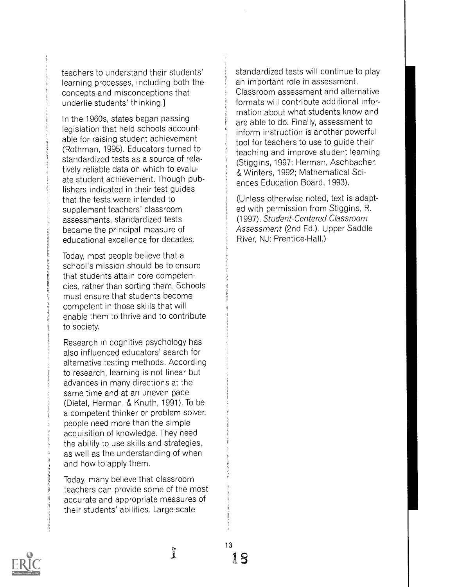teachers to understand their students' learning processes, including both the concepts and misconceptions that underlie students' thinking.]

In the 1960s, states began passing legislation that held schools accountable for raising student achievement (Rothman, 1995). Educators turned to standardized tests as a source of relatively reliable data on which to evaluate student achievement. Though publishers indicated in their test guides that the tests were intended to supplement teachers' classroom assessments, standardized tests became the principal measure of educational excellence for decades.

Today, most people believe that a school's mission should be to ensure that students attain core competencies, rather than sorting them. Schools must ensure that students become competent in those skills that will enable them to thrive and to contribute to society.

Research in cognitive psychology has also influenced educators' search for alternative testing methods. According to research, learning is not linear but advances in many directions at the same time and at an uneven pace (Dietel, Herman, & Knuth, 1991). To be a competent thinker or problem solver, people need more than the simple acquisition of knowledge. They need the ability to use skills and strategies, as well as the understanding of when and how to apply them.

Today, many believe that classroom teachers can provide some of the most accurate and appropriate measures of their students' abilities. Large-scale

ř

standardized tests will continue to play an important role in assessment. Classroom assessment and alternative formats will contribute additional information about what students know and are able to do. Finally, assessment to inform instruction is another powerful tool for teachers to use to guide their teaching and improve student learning (Stiggins, 1997; Herman, Aschbacher, & Winters, 1992; Mathematical Sciences Education Board, 1993).

(Unless otherwise noted, text is adapted with permission from Stiggins, R. (1997). Student-Centered Classroom Assessment (2nd Ed.). Upper Saddle River, NJ: Prentice-Hall.)



i.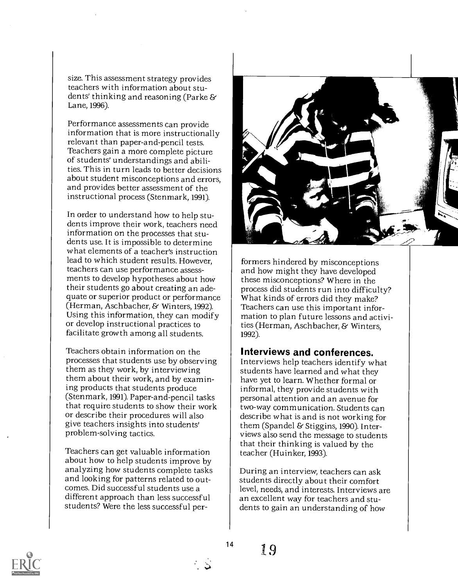size. This assessment strategy provides teachers with information about students' thinking and reasoning (Parke & Lane, 1996).

Performance assessments can provide information that is more instructionally relevant than paper-and-pencil tests. Teachers gain a more complete picture of students' understandings and abilities. This in turn leads to better decisions about student misconceptions and errors, and provides better assessment of the instructional process (Stenmark, 1991).

In order to understand how to help students improve their work, teachers need information on the processes that students use. It is impossible to determine what elements of a teacher's instruction lead to which student results. However, teachers can use performance assessments to develop hypotheses about how their students go about creating an adequate or superior product or performance (Herman, Aschbacher, & Winters, 1992). Using this information, they can modify or develop instructional practices to facilitate growth among all students.

Teachers obtain information on the processes that students use by observing them as they work, by interviewing them about their work, and by examining products that students produce (Stenmark, 1991). Paper-and-pencil tasks that require students to show their work or describe their procedures will also give teachers insights into students' problem-solving tactics.

Teachers can get valuable information about how to help students improve by analyzing how students complete tasks and looking for patterns related to outcomes. Did successful students use a different approach than less successful students? Were the less successful per-



formers hindered by misconceptions and how might they have developed these misconceptions? Where in the process did students run into difficulty? What kinds of errors did they make? Teachers can use this important information to plan future lessons and activities (Herman, Aschbacher, & Winters, 1992).

#### Interviews and conferences.

Interviews help teachers identify what students have learned and what they have yet to learn. Whether formal or informal, they provide students with personal attention and an avenue for two-way communication. Students can describe what is and is not working for them (Spandel & Stiggins, 1990). Interviews also send the message to students that their thinking is valued by the teacher (Huinker, 1993).

During an interview, teachers can ask students directly about their comfort level, needs, and interests. Interviews are an excellent way for teachers and students to gain an understanding of how



T9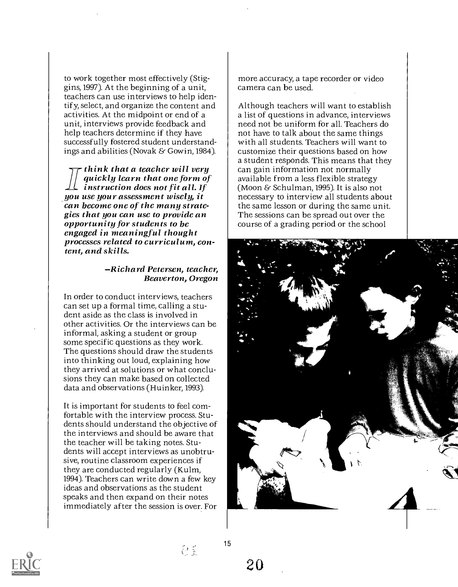to work together most effectively (Stiggins, 1997). At the beginning of a unit, teachers can use interviews to help identify, select, and organize the content and activities. At the midpoint or end of a unit, interviews provide feedback and help teachers determine if they have successfully fostered student understandings and abilities (Novak & Gowin, 1984).

2- think that a teacher will very quickly learn that one form of instruction does not fit all. If you use your assessment wisely, it gies that you can use to provide an<br>opportunity for students to be<br>engaged in meaningful thought<br>processes related to curriculum, content, and skills.

#### Richard Petersen, teacher, Beaverton, Oregon

In order to conduct interviews, teachers can set up a formal time, calling a student aside as the class is involved in other activities. Or the interviews can be informal, asking a student or group some specific questions as they work. The questions should draw the students into thinking out loud, explaining how they arrived at solutions or what conclusions they can make based on collected data and observations (Huinker, 1993).

It is important for students to feel comfortable with the interview process. Students should understand the objective of the interviews and should be aware that the teacher will be taking notes. Students will accept interviews as unobtrusive, routine classroom experiences if they are conducted regularly (Kulm, 1994). Teachers can write down a few key ideas and observations as the student speaks and then expand on their notes immediately after the session is over. For

more accuracy, a tape recorder or video camera can be used.

Although teachers will want to establish a list of questions in advance, interviews need not be uniform for all. Teachers do not have to talk about the same things with all students. Teachers will want to customize their questions based on how a student responds. This means that they can gain information not normally available from a less flexible strategy (Moon & Schulman, 1995). It is also not necessary to interview all students about the same lesson or during the same unit. The sessions can be spread out over the course of a grading period or the school





 $\left\{ \begin{array}{c} 0 \\ 0 \end{array} \right\}$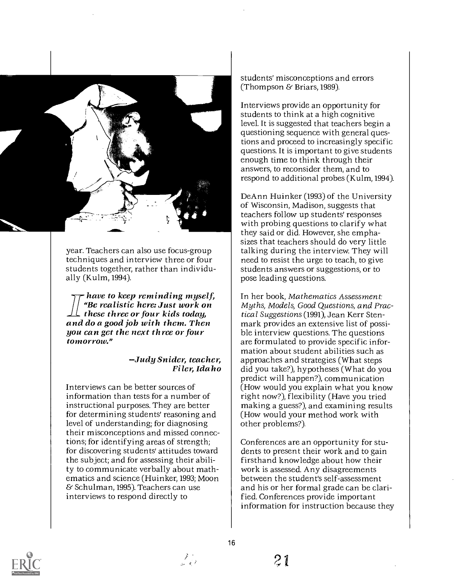

year. Teachers can also use focus-group techniques and interview three or four students together, rather than individually (Kulm, 1994).

have to keep reminding myself, "Be realistic here: Just work on<br>these three or four kids today, and do a good job with them. Then<br>you can get the next three or four tomorrow."

### Judy Snider, teacher, Filer, Idaho

Interviews can be better sources of information than tests for a number of instructional purposes. They are better for determining students' reasoning and level of understanding; for diagnosing their misconceptions and missed connections; for identifying areas of strength; for discovering students' attitudes toward the subject; and for assessing their ability to communicate verbally about mathematics and science (Huinker, 1993; Moon & Schulman, 1995). Teachers can use interviews to respond directly to

students' misconceptions and errors (Thompson & Briars, 1989).

Interviews provide an opportunity for students to think at a high cognitive level. It is suggested that teachers begin a questioning sequence with general questions and proceed to increasingly specific questions. It is important to give students enough time to think through their answers, to reconsider them, and to respond to additional probes (Kulm, 1994).

DeAnn Huinker (1993) of the University of Wisconsin, Madison, suggests that teachers follow up students' responses with probing questions to clarify what they said or did. However, she emphasizes that teachers should do very little talking during the interview. They will need to resist the urge to teach, to give students answers or suggestions, or to pose leading questions.

In her book, Mathematics Assessment: Myths, Models, Good Questions, and Practical Suggestions (1991), Jean Kerr Stenmark provides an extensive list of possible interview questions. The questions are formulated to provide specific information about student abilities such as approaches and strategies (What steps did you take?), hypotheses (What do you predict will happen?), communication (How would you explain what you know right now?), flexibility (Have you tried making a guess?), and examining results (How would your method work with other problems?).

Conferences are an opportunity for students to present their work and to gain firsthand knowledge about how their work is assessed. Any disagreements between the student's self-assessment and his or her formal grade can be clarified. Conferences provide important information for instruction because they



المتحر كبيل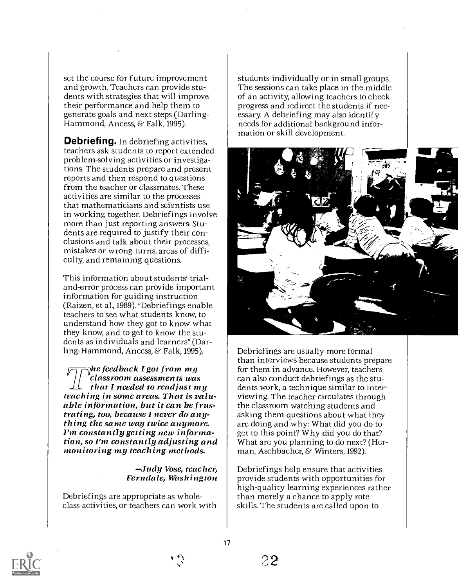set the course for future improvement and growth. Teachers can provide students with strategies that will improve their performance and help them to generate goals and next steps (Darling-Hammond, Ancess, & Falk, 1995).

**Debriefing.** In debriefing activities, teachers ask students to report extended problem-solving activities or investigations. The students prepare and present reports and then respond to questions from the teacher or classmates. These activities are similar to the processes that mathematicians and scientists use in working together. Debriefings involve more than just reporting answers: Students are required to justify their conclusions and talk about their processes, mistakes or wrong turns, areas of difficulty, and remaining questions.

This information about students' trialand-error process can provide important information for guiding instruction (Raizen, et al., 1989). "Debriefings enable teachers to see what students know, to understand how they got to know what they know, and to get to know the students as individuals and learners" (Darling-Hammond, Ancess, & Falk, 1995).

 $\bar{\gamma}$ he feedback I got from my classroom assessments was that I needed to readjust my teaching in some areas. That is valu- able information, but it can be frustrating, too, because I never do anything the same way twice anymore. I'm constantly getting new information, so I'm constantly adjusting and monitoring my teaching methods.

Judy Vose, teacher, Ferndale, Washington

Debriefings are appropriate as wholeclass activities, or teachers can work with students individually or in small groups. The sessions can take place in the middle of an activity, allowing teachers to check progress and redirect the students if necessary. A debriefing may also identify needs for additional background information or skill development.



Debriefings are usually more formal than interviews because students prepare for them in advance. However, teachers can also conduct debriefings as the students work, a technique similar to interviewing. The teacher circulates through the classroom watching students and asking them questions about what they are doing and why: What did you do to get to this point? Why did you do that? What are you planning to do next? (Herman, Aschbacher, & Winters, 1992).

Debriefings help ensure that activities provide students with opportunities for high-quality learning experiences rather than merely a chance to apply rote skills. The students are called upon to



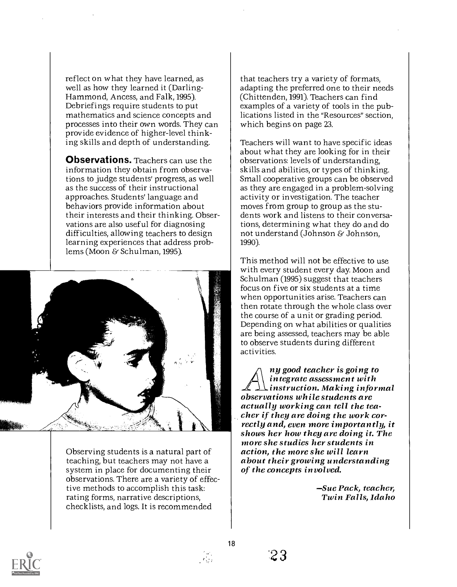reflect on what they have learned, as well as how they learned it (Darling-Hammond, Ancess, and Falk, 1995). Debriefings require students to put mathematics and science concepts and processes into their own words. They can provide evidence of higher-level thinking skills and depth of understanding.

Observations. Teachers can use the information they obtain from observations to judge students' progress, as well as the success of their instructional approaches. Students' language and behaviors provide information about their interests and their thinking. Observations are also useful for diagnosing difficulties, allowing teachers to design learning experiences that address problems (Moon & Schulman, 1995).



Observing students is a natural part of teaching, but teachers may not have a system in place for documenting their observations. There are a variety of effective methods to accomplish this task: rating forms, narrative descriptions, checklists, and logs. It is recommended

that teachers try a variety of formats, adapting the preferred one to their needs (Chittenden, 1991). Teachers can find examples of a variety of tools in the publications listed in the "Resources" section, which begins on page 23.

Teachers will want to have specific ideas about what they are looking for in their observations: levels of understanding, skills and abilities, or types of thinking. Small cooperative groups can be observed as they are engaged in a problem-solving activity or investigation. The teacher moves from group to group as the students work and listens to their conversations, determining what they do and do not understand (Johnson & Johnson, 1990).

This method will not be effective to use with every student every day. Moon and Schulman (1995) suggest that teachers focus on five or six students at a time when opportunities arise. Teachers can then rotate through the whole class over the course of a unit or grading period. Depending on what abilities or qualities are being assessed, teachers may be able to observe students during different activities.

ny good teacher is going to integrate assessment with  $\Lambda$   $\Lambda$  instruction. Making informal<br>observations while students are<br>actually working can tell the teacher if they are doing the work cor-<br>rectly and, even more importantly, it<br>shows her how they are doing it. The<br>more she studies her students in action, the more she will learn about their growing understanding of the concepts involved.

> Sue Pack, teacher, Twin Falls, Idaho

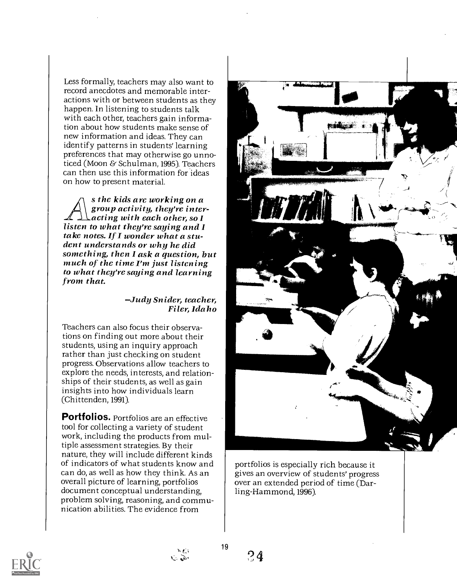Less formally, teachers may also want to record anecdotes and memorable interactions with or between students as they happen. In listening to students talk with each other, teachers gain information about how students make sense of new information and ideas. They can identify patterns in students' learning preferences that may otherwise go unnoticed (Moon & Schulman, 1995). Teachers can then use this information for ideas on how to present material.

s the kids are working on a<br>group activity, they're inter-<br>acting with each other, so I. listen to what they're saying and I take notes. If I wonder what a student understands or why he did something, then I ask a question, but<br>much of the time I'm just listening to what they're saying and learning from that.

Judy Snider, teacher, Filer, Idaho

Teachers can also focus their observations on finding out more about their students, using an inquiry approach rather than just checking on student progress. Observations allow teachers to explore the needs, interests, and relationships of their students, as well as gain insights into how individuals learn (Chittenden, 1991).

Portfolios. Portfolios are an effective tool for collecting a variety of student work, including the products from multiple assessment strategies. By their nature, they will include different kinds of indicators of what students know and can do, as well as how they think. As an overall picture of learning, portfolios document conceptual understanding, problem solving, reasoning, and communication abilities. The evidence from



portfolios is especially rich because it gives an overview of students' progress over an extended period of time (Darling-Hammond, 1996).



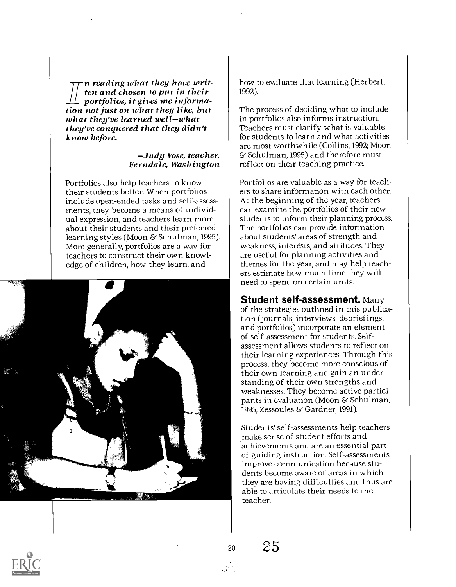n reading what they have writ-<br>ten and chosen to put in their portfolios, it gives me information not just on what they like, but<br>what they've learned well–what they've conquered that they didn't know before.

#### -Judy Vose, teacher, Ferndale, Washington

Portfolios also help teachers to know their students better. When portfolios include open-ended tasks and self-assessments, they become a means of individual expression, and teachers learn more about their students and their preferred learning styles (Moon & Schulman, 1995). More generally, portfolios are a way for teachers to construct their own knowledge of children, how they learn, and



how to evaluate that learning (Herbert, 1992).

The process of deciding what to include in portfolios also informs instruction. Teachers must clarify what is valuable for students to learn and what activities are most worthwhile (Collins, 1992; Moon & Schulman, 1995) and therefore must reflect on their teaching practice.

Portfolios are valuable as a way for teachers to share information with each other. At the beginning of the year, teachers can examine the portfolios of their new students to inform their planning process. The portfolios can provide information about students' areas of strength and weakness, interests, and attitudes. They are useful for planning activities and themes for the year, and may help teachers estimate how much time they will need to spend on certain units.

Student self-assessment. Many of the strategies outlined in this publication (journals, interviews, debriefings, and portfolios) incorporate an element of self-assessment for students. Selfassessment allows students to reflect on their learning experiences. Through this process, they become more conscious of their own learning and gain an understanding of their own strengths and weaknesses. They become active participants in evaluation (Moon & Schulman, 1995; Zessoules & Gardner, 1991).

Students' self-assessments help teachers make sense of student efforts and achievements and are an essential part of guiding instruction. Self-assessments improve communication because students become aware of areas in which they are having difficulties and thus are able to articulate their needs to the teacher.



25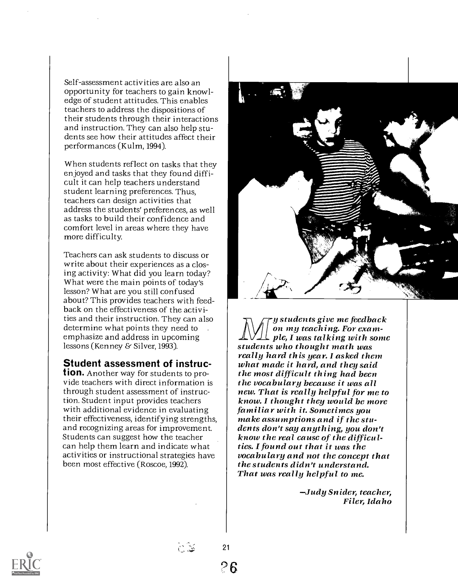Self-assessment activities are also an opportunity for teachers to gain knowledge of student attitudes. This enables teachers to address the dispositions of their students through their interactions and instruction. They can also help students see how their attitudes affect their performances (Kulm, 1994).

When students reflect on tasks that they enjoyed and tasks that they found difficult it can help teachers understand student learning preferences. Thus, teachers can design activities that address the students' preferences, as well as tasks to build their confidence and comfort level in areas where they have more difficulty.

Teachers can ask students to discuss or write about their experiences as a closing activity: What did you learn today? What were the main points of today's lesson? What are you still confused about? This provides teachers with feedback on the effectiveness of the activities and their instruction. They can also determine what points they need to<br>emphasize and address in upcoming lessons (Kenney & Silver, 1993).

#### Student assessment of instruc-

tion. Another way for students to provide teachers with direct information is  $\int$  the vocabulary because it was all through student assessment of instruction. Student input provides teachers with additional evidence in evaluating  $\parallel$  familiar with it. Sometimes you their effectiveness, identifying strengths,  $\parallel$  make assumptions and if the stuand recognizing areas for improvement. Students can suggest how the teacher can help them learn and indicate what activities or instructional strategies have been most effective (Roscoe, 1992).



y students give me feedback<br>on my teaching. For exam- $\mathcal{L}$  ple, I was talking with some students who thought math was really hard this year. I asked them what made it hard, and they said the most difficult thing had been new. That is really helpful for me to know. I thought they would be more dents don't say anything, you don't<br>know the real cause of the difficulties. I found out that it was the vocabulary and not the concept that<br>the students didn't understand. That was really helpful to me.

Judy Snider, teacher, Filer, Idaho



26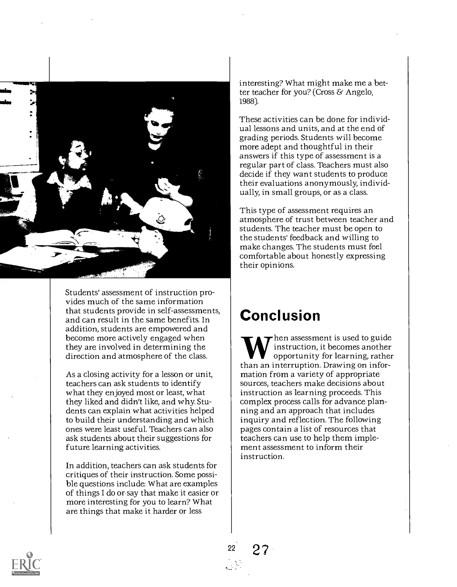

Students' assessment of instruction provides much of the same information that students provide in self-assessments, and can result in the same benefits. In addition, students are empowered and become more actively engaged when they are involved in determining the direction and atmosphere of the class.

As a closing activity for a lesson or unit, teachers can ask students to identify what they enjoyed most or least, what they liked and didn't like, and why. Students can explain what activities helped to build their understanding and which ones were least useful. Teachers can also ask students about their suggestions for future learning activities.

In addition, teachers can ask students for critiques of their instruction. Some possible questions include: What are examples of things I do or say that make it easier or more interesting for you to learn? What are things that make it harder or less

interesting? What might make me a better teacher for you? (Cross & Angelo, 1988).

These activities can be done for individual lessons and units, and at the end of grading periods. Students will become more adept and thoughtful in their answers if this type of assessment is a regular part of class. Teachers must also decide if they want students to produce their evaluations anonymously, individually, in small groups, or as a class.

This type of assessment requires an atmosphere of trust between teacher and students. The teacher must be open to the students' feedback and willing to make changes. The students must feel comfortable about honestly expressing their opinions.

### Conclusion

hen assessment is used to guide instruction, it becomes another opportunity for learning, rather than an interruption. Drawing on information from a variety of appropriate sources, teachers make decisions about instruction as learning proceeds. This complex process calls for advance planning and an approach that includes inquiry and reflection. The following pages contain a list of resources that teachers can use to help them implement assessment to inform their instruction.

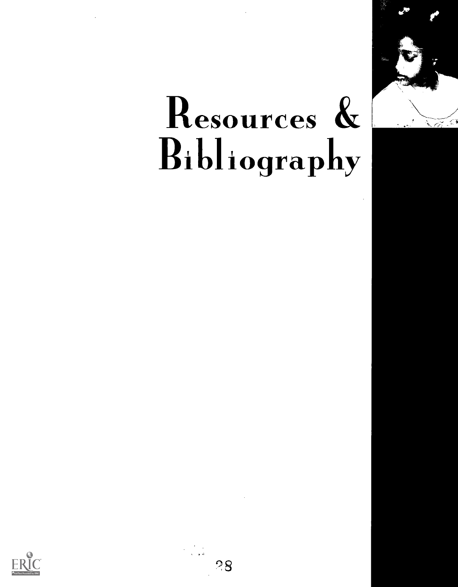

# Resources & Bibliography



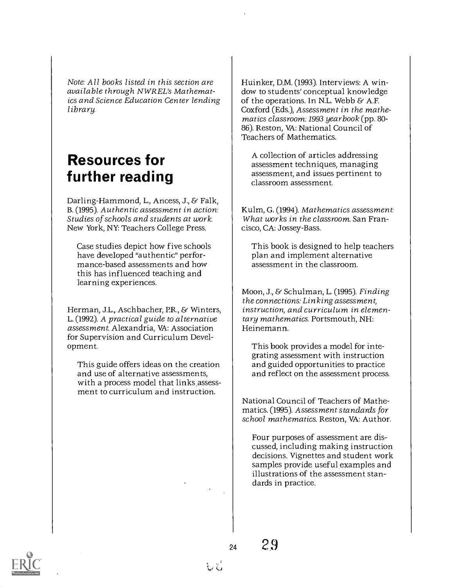Note: All books listed in this section are available through NWREL's Mathematics and Science Education Center lending library.

### Resources for further reading

Darling-Hammond, L., Ancess, J., & Falk, B. (1995). Authentic assessment in action: Studies of schools and students at work. New York, NY: Teachers College Press.

Case studies depict how five schools have developed "authentic" performance-based assessments and how this has influenced teaching and learning experiences.

Herman, J.L., Aschbacher, P.R., & Winters, L. (1992). A practical guide to alternative assessment. Alexandria, VA: Association for Supervision and Curriculum Development.

This guide offers ideas on the creation and use of alternative assessments, with a process model that links assessment to curriculum and instruction.

Huinker, D.M. (1993). Interviews: A window to students' conceptual knowledge of the operations. In N.L. Webb  $\&$  A.F. Coxford (Eds.), Assessment in the mathematics classroom: 1993 yearbook (pp. 80- 86). Reston, VA: National Council of Teachers of Mathematics.

A collection of articles addressing assessment techniques, managing assessment, and issues pertinent to classroom assessment.

Kulm, G. (1994). Mathematics assessment: What works in the classroom. San Francisco, CA: Jossey-Bass.

This book is designed to help teachers plan and implement alternative assessment in the classroom.

Moon, J., & Schulman, L. (1995). Finding the connections: Linking assessment, instruction, and curriculum in elementary mathematics. Portsmouth, NH: Heinemann.

This book provides a model for integrating assessment with instruction and guided opportunities to practice and reflect on the assessment process.

National Council of Teachers of Mathematics. (1995). Assessment standards for school mathematics. Reston, VA: Author.

Four purposes of assessment are discussed, including making instruction decisions. Vignettes and student work samples provide useful examples and illustrations of the assessment standards in practice.

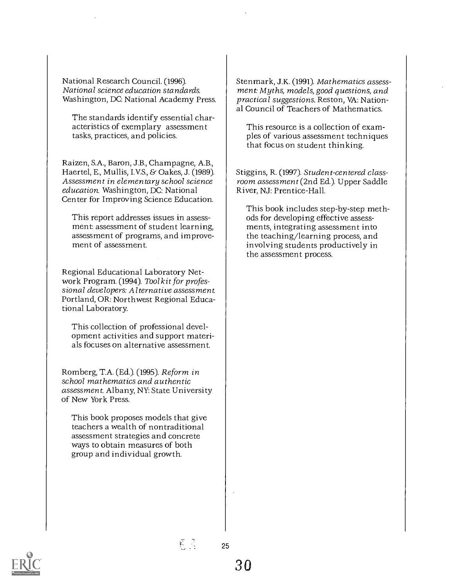National Research Council. (1996). National science education standards. Washington, DC: National Academy Press.

The standards identify essential characteristics of exemplary assessment tasks, practices, and policies.

Raizen, S.A., Baron, J.B., Champagne, A.B., Haertel, E., Mullis, I.V.S., & Oakes, J. (1989). Assessment in elementary school science education. Washington, DC: National Center for Improving Science Education.

This report addresses issues in assessment: assessment of student learning, assessment of programs, and improvement of assessment.

Regional Educational Laboratory Network Program. (1994). Tool kit for professional developers: Alternative assessment. Portland, OR: Northwest Regional Educational Laboratory.

This collection of professional development activities and support materials focuses on alternative assessment.

Romberg, T.A. (Ed.). (1995). Reform in school mathematics and authentic assessment. Albany, NY: State University of New York Press.

This book proposes models that give teachers a wealth of nontraditional assessment strategies and concrete ways to obtain measures of both group and individual growth.

Stenmark, J.K. (1991). Mathematics assessment: Myths, models, good questions, and practical suggestions. Reston, VA: National Council of Teachers of Mathematics.

This resource is a collection of examples of various assessment techniques that focus on student thinking.

Stiggins, R. (1997). Student-centered classroom assessment (2nd Ed.). Upper Saddle River, NJ: Prentice-Hall.

This book includes step-by-step methods for developing effective assessments, integrating assessment into the teaching/learning process, and involving students productively in the assessment process.



ही है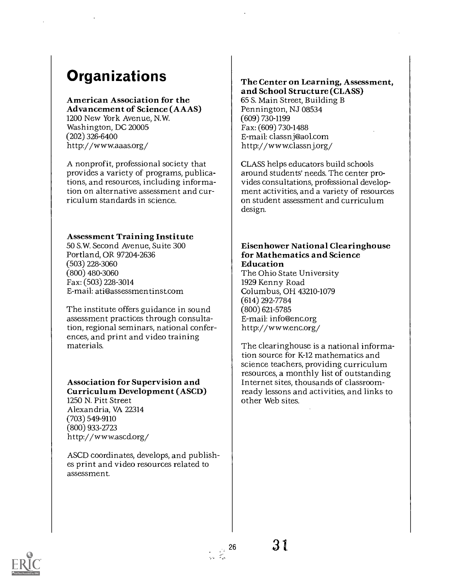### **Organizations**

#### American Association for the

Advancement of Science (AAAS) 1200 New York Avenue, N.W. Washington, DC 20005 (202) 326-6400 http://www.aaas.org/

A nonprofit, professional society that provides a variety of programs, publications, and resources, including information on alternative assessment and curriculum standards in science.

#### Assessment Training Institute

50 S.W. Second Avenue, Suite 300 Portland, OR 97204-2636 (503) 228-3060 (800) 480-3060 Fax: (503) 228-3014 E-mail: ati@assessmentinst.com

The institute offers guidance in sound assessment practices through consultation, regional seminars, national conferences, and print and video training materials.

### Association for Supervision and Curriculum Development (ASCD) 1250 N. Pitt Street

Alexandria, VA 22314 (703) 549-9110 (800) 933-2723 http: / /wwwascd.org/

ASCD coordinates, develops, and publishes print and video resources related to assessment.

#### The Center on Learning, Assessment, and School Structure (CLASS)

65 S. Main Street, Building B Pennington, NJ 08534 (609) 730-1199 Fax: (609) 730-1488 E-mail: classnj@aol.com http://www.classnj.org/

CLASS helps educators build schools around students' needs. The center provides consultations, professional development activities, and a variety of resources on student assessment and curriculum design.

#### Eisenhower National Clearinghouse for Mathematics and Science Education

The Ohio State University 1929 Kenny Road Columbus, OH 43210-1079 (614) 292-7784 (800) 621-5785 E-mail: info@enc.org http://www.enc.org/

The clearinghouse is a national information source for K-12 mathematics and science teachers, providing curriculum resources, a monthly list of outstanding Internet sites, thousands of classroomready lessons and activities, and links to other Web sites.

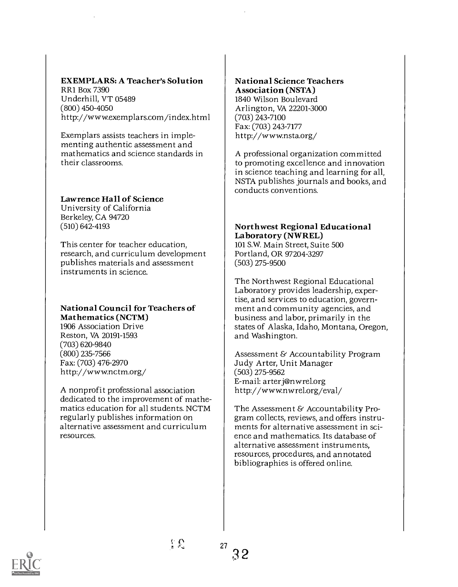#### EXEMPLARS: A Teacher's Solution

RR1 Box 7390 Underhill, VT 05489 (800) 450-4050 http://www.exemplars.com/index.html

Exemplars assists teachers in implementing authentic assessment and mathematics and science standards in their classrooms.

#### Lawrence Hall of Science

University of California Berkeley, CA 94720 (510) 642-4193

This center for teacher education, research, and curriculum development publishes materials and assessment instruments in science.

#### National Council for Teachers of Mathematics (NCTM)

1906 Association Drive Reston, VA 20191-1593 (703) 620-9840 (800) 235-7566 Fax: (703) 476-2970 http: / /wwwnctm.org/

A nonprofit professional association dedicated to the improvement of mathematics education for all students. NCTM regularly publishes information on alternative assessment and curriculum resources.

#### National Science Teachers Association (NSTA) 1840 Wilson Boulevard Arlington, VA 22201-3000 (703) 243-7100 Fax: (703) 243-7177 http://www.nsta.org/

A professional organization committed to promoting excellence and innovation in science teaching and learning for all, NSTA publishes journals and books, and conducts conventions.

#### Northwest Regional Educational Laboratory (NWREL)

101 S.W. Main Street, Suite 500 Portland, OR 97204-3297 (503) 275-9500

The Northwest Regional Educational Laboratory provides leadership, expertise, and services to education, government and community agencies, and business and labor, primarily in the states of Alaska, Idaho, Montana, Oregon, and Washington.

Assessment & Accountability Program Judy Arter, Unit Manager (503) 275-9562 E-mail: arterj@nwrel.org http://www.nwrel.org/eval/

The Assessment & Accountability Program collects, reviews, and offers instruments for alternative assessment in science and mathematics. Its database of alternative assessment instruments, resources, procedures, and annotated bibliographies is offered online.

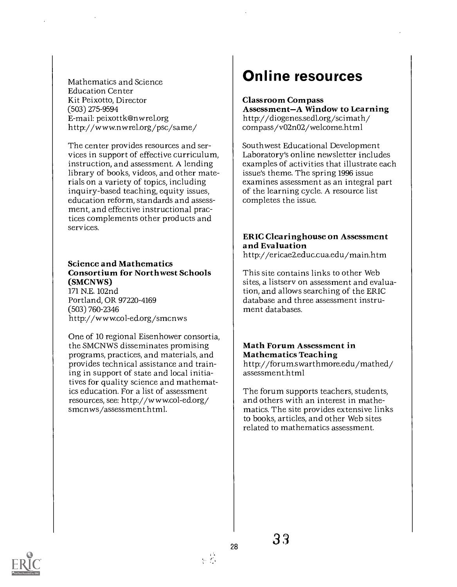Mathematics and Science Education Center Kit Peixotto, Director (503) 275-9594 E-mail: peixottk@nwrel.org http://www.nwrel.org/psc/same/

The center provides resources and services in support of effective curriculum, instruction, and assessment. A lending library of books, videos, and other materials on a variety of topics, including inquiry-based teaching, equity issues, education reform, standards and assessment, and effective instructional practices complements other products and services.

Science and Mathematics Consortium for Northwest Schools (SMCNWS) 171 N.E. 102nd Portland, OR 97220-4169 (503) 760-2346 http://www.col-ed.org/smcnws

One of 10 regional Eisenhower consortia, the SMCNWS disseminates promising programs, practices, and materials, and provides technical assistance and training in support of state and local initiatives for quality science and mathematics education. For a list of assessment resources, see: http://www.col-ed.org/ smcnws/assessment.html.

### Online resources

Classroom Compass<br>Assessment-A Window to Learning http://diogenes.sedl.org/scimath/ compass/v02n02/welcome.html

Southwest Educational Development Laboratory's online newsletter includes examples of activities that illustrate each issue's theme. The spring 1996 issue examines assessment as an integral part of the learning cycle. A resource list completes the issue.

### ERIC Clearinghouse on Assessment and Evaluation

http://ericae2.educ.cua.edu/main.htm

This site contains links to other Web sites, a listsery on assessment and evaluation, and allows searching of the ERIC database and three assessment instrument databases.

#### Math Forum Assessment in Mathematics Teaching http://forum.swarthmore.edu/mathed/

assessment.html

The forum supports teachers, students, and others with an interest in mathematics. The site provides extensive links to books, articles, and other Web sites related to mathematics assessment.

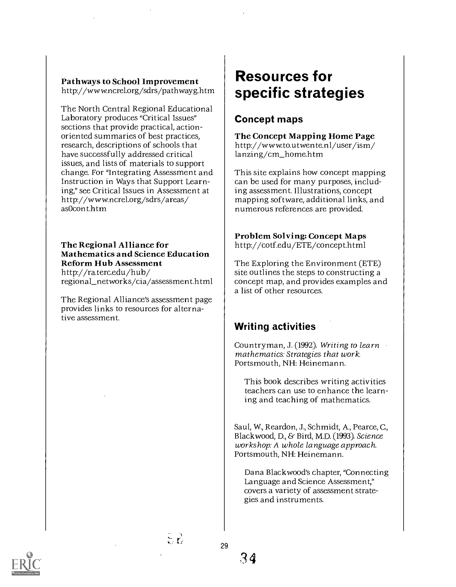#### Pathways to School Improvement http://www.ncrel.org/sdrs/pathwayg.htm

The North Central Regional Educational Laboratory produces "Critical Issues" sections that provide practical, actionoriented summaries of best practices, research, descriptions of schools that have successfully addressed critical issues, and lists of materials to support change. For "Integrating Assessment and Instruction in Ways that Support Learning," see Critical Issues in Assessment at http://www.ncrel.org/sdrs/areas/ asOcont.htm

#### The Regional Alliance for Mathematics and Science Education Reform Hub Assessment

http://ra.terc.edu/hub/ regional\_networks/cia/assessment.html

The Regional Alliance's assessment page provides links to resources for alternative assessment.

### Resources for specific strategies

#### Concept maps

The Concept Mapping Home Page http://www.to.utwente.nl/user/ism/ lanzing/cm\_home.htm

This site explains how concept mapping can be used for many purposes, including assessment. Illustrations, concept mapping software, additional links, and numerous references are provided.

Problem Solving: Concept Maps http://cotf.edu/ETE/concept.html

The Exploring the Environment (ETE) site outlines the steps to constructing a concept map, and provides examples and a list of other resources.

#### Writing activities

Countryman, J. (1992). Writing to learn mathematics: Strategies that work. Portsmouth, NH: Heinemann.

This book describes writing activities teachers can use to enhance the learning and teaching of mathematics.

Saul, W, Reardon, J., Schmidt, A., Pearce, C., Blackwood, D., & Bird, M.D. (1993). Science workshop: A whole language approach. Portsmouth, NH: Heinemann.

Dana Blackwood's chapter, "Connecting Language and Science Assessment," covers a variety of assessment strategies and instruments.



 $\mathcal{L}(\mathcal{C})$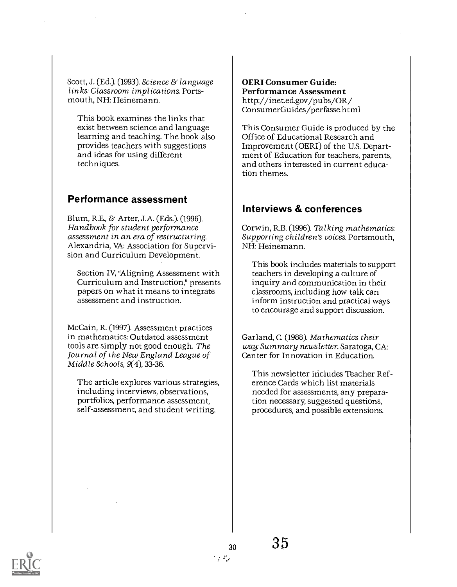Scott, J. (Ed.). (1993). Science & language links: Classroom implications. Portsmouth, NH: Heinemann.

This book examines the links that exist between science and language learning and teaching. The book also provides teachers with suggestions and ideas for using different techniques.

#### Performance assessment

Blum, R.E., & Arter, J.A. (Eds.). (1996). Handbook for student performance assessment in an era of restructuring. Alexandria, VA: Association for Supervision and Curriculum Development.

Section IV, 'Aligning Assessment with Curriculum and Instruction," presents papers on what it means to integrate assessment and instruction.

McCain, R. (1997). Assessment practices in mathematics: Outdated assessment tools are simply not good enough. The Journal of the New England League of Middle Schools, 9(4), 33-36.

The article explores various strategies, including interviews, observations, portfolios, performance assessment, self-assessment, and student writing.

OERI Consumer Guide: Performance Assessment http://inet.ed.gov/pubs/OR/ ConsumerGuides/perfasse.html

This Consumer Guide is produced by the Office of Educational Research and Improvement (OERI) of the U.S. Department of Education for teachers, parents, and others interested in current education themes.

#### Interviews & conferences

Corwin, R.B. (1996). Talking mathematics: Supporting children's voices. Portsmouth, NH: Heinemann.

This book includes materials to support teachers in developing a culture of inquiry and communication in their classrooms, including how talk can inform instruction and practical ways to encourage and support discussion.

Garland, C. (1988). Mathematics their way: Summary newsletter. Saratoga, CA: Center for Innovation in Education.

This newsletter includes Teacher Reference Cards which list materials needed for assessments, any preparation necessary, suggested questions, procedures, and possible extensions.

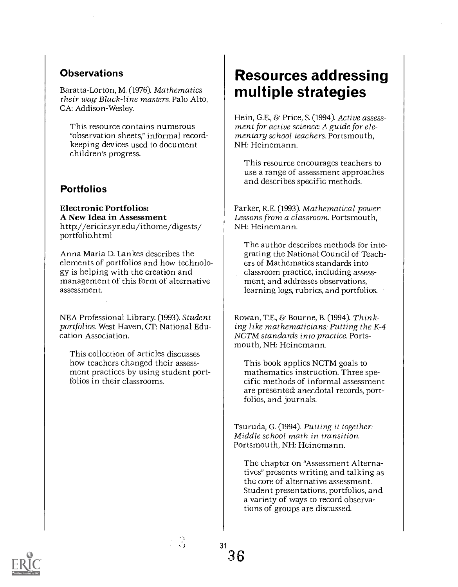#### **Observations**

Baratta-Lorton, M. (1976). Mathematics their way: Black-line masters. Palo Alto, CA: Addison-Wesley.

This resource contains numerous "observation sheets," informal recordkeeping devices used to document children's progress.

#### **Portfolios**

Electronic Portfolios: A New Idea in Assessment http://ericir.syr.edu/ithome/digests/ portfolio.html

Anna Maria D. Lankes describes the elements of portfolios and how technology is helping with the creation and management of this form of alternative assessment.

NEA Professional Library. (1993). Student portfolios. West Haven, CT: National Education Association.

This collection of articles discusses how teachers changed their assessment practices by using student portfolios in their classrooms.

### Resources addressing multiple strategies

Hein, G.E., & Price, S. (1994). Active assessment for active science: A guide for elementary school teachers. Portsmouth, NH: Heinemann.

This resource encourages teachers to use a range of assessment approaches and describes specific methods.

Parker, R.E. (1993). Mathematical power: Lessons from a classroom. Portsmouth, NH: Heinemann.

The author describes methods for integrating the National Council of Teachers of Mathematics standards into classroom practice, including assessment, and addresses observations, learning logs, rubrics, and portfolios.

Rowan, T.E., & Bourne, B. (1994). Thinking like mathematicians: Putting the K-4 NCTM standards into practice. Portsmouth, NH: Heinemann.

This book applies NCTM goals to mathematics instruction. Three specific methods of informal assessment are presented: anecdotal records, portfolios, and journals.

Tsuruda, G. (1994). Putting it together: Middle school math in transition. Portsmouth, NH: Heinemann.

The chapter on "Assessment Alternatives" presents writing and talking as the core of alternative assessment. Student presentations, portfolios, and a variety of ways to record observations of groups are discussed.



 $\cdot$  3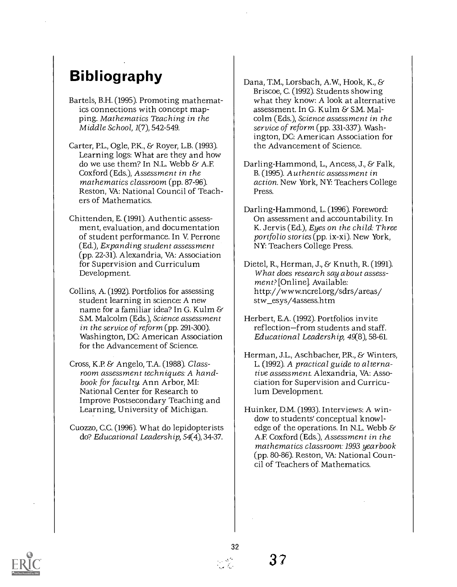### **Bibliography**

- Bartels, B.H. (1995). Promoting mathematics connections with concept mapping. Mathematics Teaching in the Middle School, 1(7), 542-549.
- Carter, EL., Ogle, P.K., & Royer, L.B. (1993). Learning logs: What are they and how do we use them? In N.L. Webb & A.F. Coxford (Eds.), Assessment in the mathematics classroom (pp. 87-96). Reston, VA: National Council of Teachers of Mathematics.
- Chittenden, E. (1991). Authentic assessment, evaluation, and documentation of student performance. In V. Perrone (Ed.), Expanding student assessment (pp. 22-31). Alexandria, VA: Association for Supervision and Curriculum Development.
- Collins, A. (1992). Portfolios for assessing student learning in science: A new name for a familiar idea? In G. Kulm  $\&$ S.M. Malcolm (Eds.), Science assessment in the service of reform (pp. 291-300). Washington, DC: American Association for the Advancement of Science.
- Cross, K.P. & Angelo, T.A. (1988). Classroom assessment techniques: A handbook for faculty. Ann Arbor, MI: National Center for Research to Improve Postsecondary Teaching and Learning, University of Michigan.
- Cuozzo, C.C. (1996). What do lepidopterists do? Educational Leadership, 54(4), 34-37.
- Dana, T.M., Lorsbach, A.W., Hook, K., & Briscoe, C. (1992). Students showing what they know: A look at alternative assessment. In G. Kulm & S.M. Malcolm (Eds.), Science assessment in the service of reform (pp. 331-337). Washington, DC: American Association for the Advancement of Science.
- Darling-Hammond, L., Ancess, J., & Falk, B. (1995). Authentic assessment in action. New York, NY: Teachers College Press.
- Darling-Hammond, L. (1996). Foreword: On assessment and accountability. In K. Jervis (Ed.), Eyes on the child: Three portfolio stories (pp. ix-xi). New York, NY: Teachers College Press.
- Dietel, R., Herman, J., & Knuth, R. (1991). What does research say about assessment? [Online]. Available: http://www.ncrel.org/sdrs/areas/ stw\_esys/4assess.htm
- Herbert, E.A. (1992). Portfolios invite reflection-from students and staff. Educational Leadership, 49(8), 58-61.
- Herman, J.L., Aschbacher, P.R., & Winters, L. (1992). A practical guide to alternative assessment. Alexandria, VA: Association for Supervision and Curriculum Development.
- Huinker, D.M. (1993). Interviews: A window to students' conceptual knowledge of the operations. In N.L. Webb  $\mathcal S$ A.F. Coxford (Eds.), Assessment in the mathematics classroom: 1993 yearbook (pp. 80-86). Reston, VA: National Council of Teachers of Mathematics.

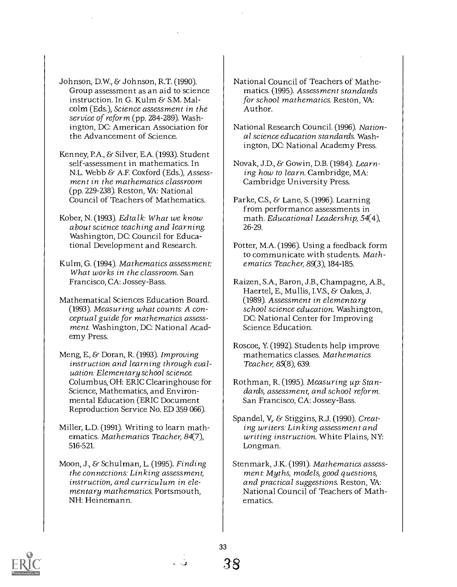Johnson, D.W., & Johnson, R.T. (1990). Group assessment as an aid to science instruction. In G. Kulm & S.M. Malcolm (Eds.), Science assessment in the service of reform (pp. 284-289). Washington, DC: American Association for the Advancement of Science.

Kenney, PA., & Silver, E.A. (1993). Student self-assessment in mathematics. In N.L. Webb & A.F. Coxford (Eds.), Assessment in the mathematics classroom (pp. 229-238). Reston, VA: National Council of Teachers of Mathematics.

Kober, N. (1993). Edtalk: What we know about science teaching and learning. Washington, DC: Council for Educational Development and Research.

Kulm, G. (1994). Mathematics assessment: What works in the classroom. San Francisco, CA: Jossey-Bass.

Mathematical Sciences Education Board. (1993). Measuring what counts: A conceptual guide for mathematics assessment. Washington, DC: National Academy Press.

Meng, E., & Doran, R. (1993). Improving instruction and learning through evaluation: Elementary school science. Columbus, OH: ERIC Clearinghouse for Science, Mathematics, and Environmental Education (ERIC Document Reproduction Service No. ED 359 066).

Miller, L.D. (1991). Writing to learn mathematics. Mathematics Teacher, 84(7), 516-521.

Moon, J., & Schulman, L. (1995). Finding the connections: Linking assessment, instruction, and curriculum in elementary mathematics. Portsmouth, NH: Heinemann.

National Council of Teachers of Mathematics. (1995). Assessment standards for school mathematics. Reston, VA: Author.

National Research Council. (1996). National science education standards. Washington, DC: National Academy Press.

Novak, J.D., & Gowin, D.B. (1984). Learning how to learn. Cambridge, MA: Cambridge University Press.

Parke, C.S., & Lane, S. (1996). Learning from performance assessments in math. Educational Leadership, 54(4), 26-29.

Potter, M.A. (1996). Using a feedback form to communicate with students. Mathematics Teacher, 89(3),184 -185.

Raizen, S.A., Baron, J.B., Champagne, A.B., Haertel, E., Mullis, I.V.S., & Oakes, J. (1989). Assessment in elementary school science education. Washington, DC: National Center for Improving Science Education.

Roscoe, Y. (1992). Students help improve mathematics classes. Mathematics Teacher, 85(8), 639.

Rothman, R. (1995). Measuring up: Standards, assessment, and school reform. San Francisco, CA: Jossey-Bass.

Spandel, V. & Stiggins, R.J. (1990). Creating writers: Linking assessment and writing instruction. White Plains, NY: Longman.

Stenmark, J.K. (1991). Mathematics assessment. Myths, models, good questions, and practical suggestions. Reston, VA: National Council of Teachers of Mathematics.



33

.1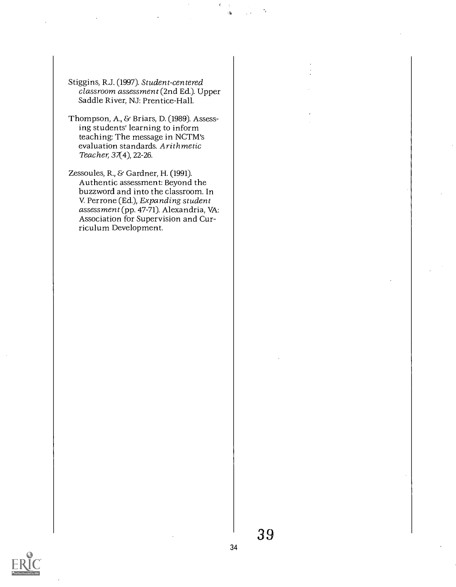- Stiggins, R.J. (1997). Student-centered classroom assessment (2nd Ed.). Upper Saddle River, NJ: Prentice-Hall.
- Thompson, A., & Briars, D. (1989). Assessing students' learning to inform teaching: The message in NCTM's evaluation standards. Arithmetic Teacher, 37(4), 22-26.
- Zessoules, R., & Gardner, H. (1991). Authentic assessment: Beyond the buzzword and into the classroom. In V. Perrone (Ed.), Expanding student assessment (pp. 47-71). Alexandria, VA: Association for Supervision and Curriculum Development.

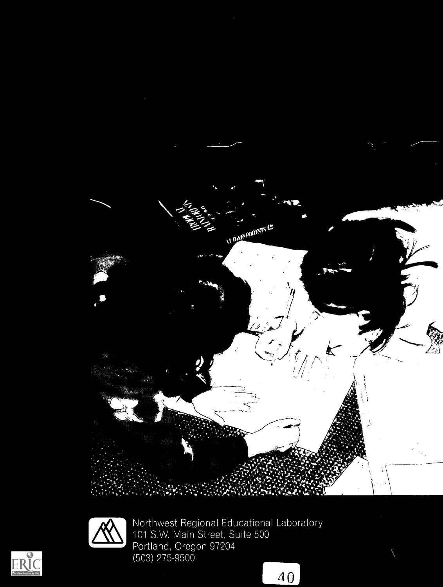



Northwest Regional Educational Laboratory<br>101 S.W. Main Street, Suite 500<br>Portland, Oregon 97204 Northwest Regional Educational Laboratory 101 S.W. Main Street, Suite 500 Portland, Oregon 97204 (503) 275-9500

 $\overline{40}$